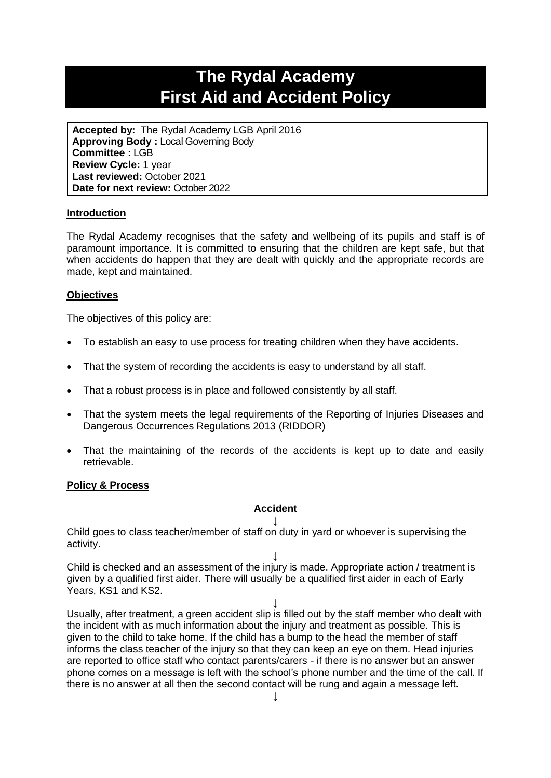# **The Rydal Academy First Aid and Accident Policy**

**Accepted by:** The Rydal Academy LGB April 2016 **Approving Body :** Local Governing Body **Committee :** LGB **Review Cycle:** 1 year **Last reviewed:** October 2021 **Date for next review:** October 2022

#### **Introduction**

The Rydal Academy recognises that the safety and wellbeing of its pupils and staff is of paramount importance. It is committed to ensuring that the children are kept safe, but that when accidents do happen that they are dealt with quickly and the appropriate records are made, kept and maintained.

#### **Objectives**

The objectives of this policy are:

- To establish an easy to use process for treating children when they have accidents.
- That the system of recording the accidents is easy to understand by all staff.
- That a robust process is in place and followed consistently by all staff.
- That the system meets the legal requirements of the Reporting of Injuries Diseases and Dangerous Occurrences Regulations 2013 (RIDDOR)
- That the maintaining of the records of the accidents is kept up to date and easily retrievable.

#### **Policy & Process**

## **Accident**

**↓** Child goes to class teacher/member of staff on duty in yard or whoever is supervising the activity.

**↓** Child is checked and an assessment of the injury is made. Appropriate action / treatment is given by a qualified first aider. There will usually be a qualified first aider in each of Early Years, KS1 and KS2.

**↓** Usually, after treatment, a green accident slip is filled out by the staff member who dealt with the incident with as much information about the injury and treatment as possible. This is given to the child to take home. If the child has a bump to the head the member of staff informs the class teacher of the injury so that they can keep an eye on them. Head injuries are reported to office staff who contact parents/carers - if there is no answer but an answer phone comes on a message is left with the school's phone number and the time of the call. If there is no answer at all then the second contact will be rung and again a message left.